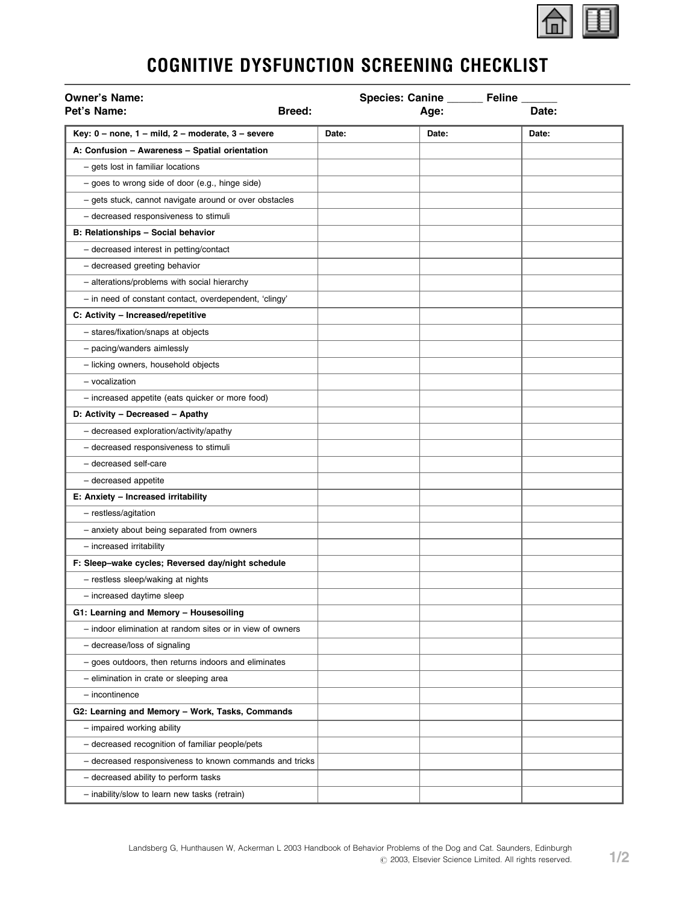

## COGNITIVE DYSFUNCTION SCREENING CHECKLIST

| <b>Owner's Name:</b>                                      |               | Species: Canine ______ | Feline __ |
|-----------------------------------------------------------|---------------|------------------------|-----------|
| Pet's Name:                                               | <b>Breed:</b> | Age:                   | Date:     |
| Key: $0$ – none, $1$ – mild, $2$ – moderate, $3$ – severe | Date:         | Date:                  | Date:     |
| A: Confusion - Awareness - Spatial orientation            |               |                        |           |
| - gets lost in familiar locations                         |               |                        |           |
| - goes to wrong side of door (e.g., hinge side)           |               |                        |           |
| - gets stuck, cannot navigate around or over obstacles    |               |                        |           |
| - decreased responsiveness to stimuli                     |               |                        |           |
| B: Relationships - Social behavior                        |               |                        |           |
| - decreased interest in petting/contact                   |               |                        |           |
| - decreased greeting behavior                             |               |                        |           |
| - alterations/problems with social hierarchy              |               |                        |           |
| - in need of constant contact, overdependent, 'clingy'    |               |                        |           |
| C: Activity - Increased/repetitive                        |               |                        |           |
| - stares/fixation/snaps at objects                        |               |                        |           |
| - pacing/wanders aimlessly                                |               |                        |           |
| - licking owners, household objects                       |               |                        |           |
| - vocalization                                            |               |                        |           |
| - increased appetite (eats quicker or more food)          |               |                        |           |
| D: Activity - Decreased - Apathy                          |               |                        |           |
| - decreased exploration/activity/apathy                   |               |                        |           |
| - decreased responsiveness to stimuli                     |               |                        |           |
| - decreased self-care                                     |               |                        |           |
| - decreased appetite                                      |               |                        |           |
| E: Anxiety - Increased irritability                       |               |                        |           |
| - restless/agitation                                      |               |                        |           |
| - anxiety about being separated from owners               |               |                        |           |
| - increased irritability                                  |               |                        |           |
| F: Sleep-wake cycles; Reversed day/night schedule         |               |                        |           |
| - restless sleep/waking at nights                         |               |                        |           |
| - increased daytime sleep                                 |               |                        |           |
| G1: Learning and Memory - Housesoiling                    |               |                        |           |
| - indoor elimination at random sites or in view of owners |               |                        |           |
| - decrease/loss of signaling                              |               |                        |           |
| - goes outdoors, then returns indoors and eliminates      |               |                        |           |
| - elimination in crate or sleeping area                   |               |                        |           |
| - incontinence                                            |               |                        |           |
| G2: Learning and Memory - Work, Tasks, Commands           |               |                        |           |
| - impaired working ability                                |               |                        |           |
| - decreased recognition of familiar people/pets           |               |                        |           |
| - decreased responsiveness to known commands and tricks   |               |                        |           |
| - decreased ability to perform tasks                      |               |                        |           |
| - inability/slow to learn new tasks (retrain)             |               |                        |           |